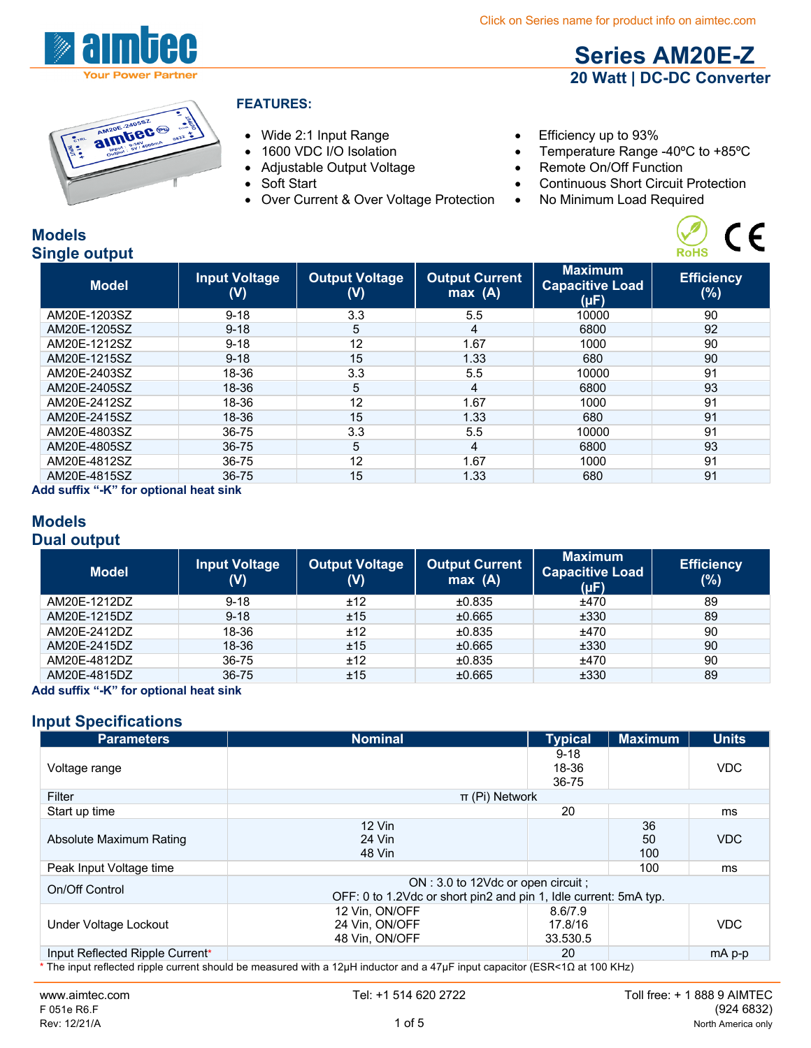



### **FEATURES:**

- Wide 2:1 Input Range Efficiency up to 93%
- 
- 
- 
- Over Current & Over Voltage Protection No Minimum Load Required
- 
- 1600 VDC I/O Isolation Temperature Range -40°C to +85°C

**Series AM20E-Z 20 Watt | DC-DC Converter**

 $C \in$ 

- Adjustable Output Voltage Remote On/Off Function
- Soft Start Continuous Short Circuit Protection
	-

#### **Models Single output**

| <b>Efficiency</b> |
|-------------------|
|                   |
|                   |
|                   |
|                   |
|                   |
|                   |
|                   |
|                   |
|                   |
|                   |
|                   |
|                   |
|                   |

**Add suffix "-K" for optional heat sink**

#### **Models Dual output**

| <b>Model</b> | <b>Input Voltage</b><br>(V) | <b>Output Voltage</b><br>(V) | <b>Output Current</b><br>max(A) | <b>Maximum</b><br><b>Capacitive Load</b><br>(µF) | <b>Efficiency</b><br>(%) |
|--------------|-----------------------------|------------------------------|---------------------------------|--------------------------------------------------|--------------------------|
| AM20E-1212DZ | $9 - 18$                    | ±12                          | ±0.835                          | ±470                                             | 89                       |
| AM20E-1215DZ | $9 - 18$                    | ±15                          | ±0.665                          | ±330                                             | 89                       |
| AM20E-2412DZ | 18-36                       | ±12                          | ±0.835                          | ±470                                             | 90                       |
| AM20E-2415DZ | 18-36                       | ±15                          | ±0.665                          | ±330                                             | 90                       |
| AM20E-4812DZ | 36-75                       | ±12                          | ±0.835                          | ±470                                             | 90                       |
| AM20E-4815DZ | 36-75                       | ±15                          | ±0.665                          | ±330                                             | 89                       |

**Add suffix "-K" for optional heat sink**

## **Input Specifications**

| <b>Parameters</b>               | <b>Nominal</b>                                                                                                              | <b>Typical</b>                 | <b>Maximum</b>  | <b>Units</b> |
|---------------------------------|-----------------------------------------------------------------------------------------------------------------------------|--------------------------------|-----------------|--------------|
| Voltage range                   |                                                                                                                             | $9 - 18$<br>18-36<br>36-75     |                 | <b>VDC</b>   |
| Filter                          | $\pi$ (Pi) Network                                                                                                          |                                |                 |              |
| Start up time                   |                                                                                                                             | 20                             |                 | ms           |
| Absolute Maximum Rating         | $12$ Vin<br>24 Vin<br>48 Vin                                                                                                |                                | 36<br>50<br>100 | <b>VDC</b>   |
| Peak Input Voltage time         |                                                                                                                             |                                | 100             | ms           |
| On/Off Control                  | ON: 3.0 to 12Vdc or open circuit ;<br>OFF: 0 to 1.2Vdc or short pin2 and pin 1, Idle current: 5mA typ.                      |                                |                 |              |
| Under Voltage Lockout           | 12 Vin, ON/OFF<br>24 Vin. ON/OFF<br>48 Vin. ON/OFF                                                                          | 8.6/7.9<br>17.8/16<br>33.530.5 |                 | <b>VDC</b>   |
| Input Reflected Ripple Current* |                                                                                                                             | 20                             |                 | $mA$ p-p     |
|                                 | * The input reflected ripple current should be measured with a 12μH inductor and a 47μF input capacitor (ESR<1Ω at 100 KHz) |                                |                 |              |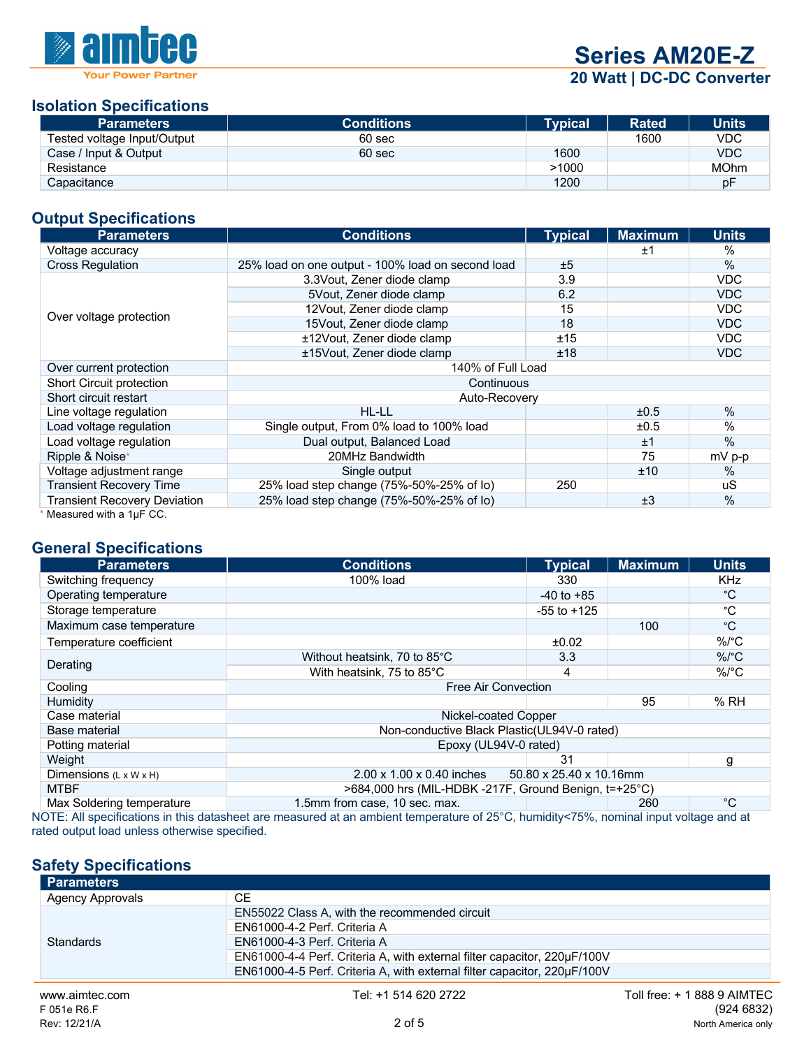

**Series AM20E-Z**

**20 Watt | DC-DC Converter**

#### **Isolation Specifications**

| <b>Parameters</b>           | <b>Conditions</b> | <b>Typical</b> | <b>Rated</b> | <b>Units</b> |
|-----------------------------|-------------------|----------------|--------------|--------------|
| Tested voltage Input/Output | 60 sec            |                | 1600         | <b>VDC</b>   |
| Case / Input & Output       | 60 sec            | 1600           |              | <b>VDC</b>   |
| Resistance                  |                   | >1000          |              | <b>MOhm</b>  |
| Capacitance                 |                   | 1200           |              | рF           |

#### **Output Specifications**

| <b>Parameters</b>                                  | <b>Conditions</b>                                 | <b>Typical</b> | <b>Maximum</b> | <b>Units</b>  |
|----------------------------------------------------|---------------------------------------------------|----------------|----------------|---------------|
| Voltage accuracy                                   |                                                   |                | ±1             | $\frac{0}{0}$ |
| <b>Cross Regulation</b>                            | 25% load on one output - 100% load on second load | ±5             |                | $\%$          |
|                                                    | 3.3 Vout, Zener diode clamp                       | 3.9            |                | <b>VDC</b>    |
|                                                    | 5Vout, Zener diode clamp                          | 6.2            |                | <b>VDC</b>    |
|                                                    | 12Vout, Zener diode clamp                         | 15             |                | <b>VDC</b>    |
| Over voltage protection                            | 15 Vout, Zener diode clamp                        | 18             |                | <b>VDC</b>    |
|                                                    | ±12Vout, Zener diode clamp                        | ±15            |                | <b>VDC</b>    |
|                                                    | ±15Vout, Zener diode clamp                        | ±18            |                | <b>VDC</b>    |
| Over current protection                            | 140% of Full Load                                 |                |                |               |
| Short Circuit protection                           | Continuous                                        |                |                |               |
| Short circuit restart                              | Auto-Recovery                                     |                |                |               |
| Line voltage regulation                            | HL-LL                                             |                | ±0.5           | $\%$          |
| Load voltage regulation                            | Single output, From 0% load to 100% load          |                | ±0.5           | $\%$          |
| Load voltage regulation                            | Dual output, Balanced Load                        |                | ±1             | %             |
| Ripple & Noise*                                    | 20MHz Bandwidth                                   |                | 75             | mV p-p        |
| Voltage adjustment range                           | Single output                                     |                | ±10            | $\%$          |
| <b>Transient Recovery Time</b>                     | 25% load step change (75%-50%-25% of lo)          | 250            |                | uS            |
| <b>Transient Recovery Deviation</b>                | 25% load step change (75%-50%-25% of lo)          |                | ±3             | $\%$          |
| Mogeurad with a $1\text{u} \text{F} \cap \text{C}$ |                                                   |                |                |               |

Measured with a  $1\mu$ F CC.

# **General Specifications**

| <b>Parameters</b>                  | <b>Conditions</b>                                                   | <b>Typical</b>                                 | <b>Maximum</b> | <b>Units</b> |
|------------------------------------|---------------------------------------------------------------------|------------------------------------------------|----------------|--------------|
| Switching frequency                | 100% load                                                           | 330                                            |                | <b>KHz</b>   |
| Operating temperature              |                                                                     | $-40$ to $+85$                                 |                | °C           |
| Storage temperature                |                                                                     | $-55$ to $+125$                                |                | °C           |
| Maximum case temperature           |                                                                     |                                                | 100            | °C           |
| Temperature coefficient            |                                                                     | ±0.02                                          |                | $\%$ /°C     |
|                                    | Without heatsink, 70 to 85°C                                        | 3.3                                            |                | $\%$ /°C     |
| Derating                           | With heatsink, 75 to 85°C                                           | 4                                              |                | $\%$ /°C     |
| Cooling                            | Free Air Convection                                                 |                                                |                |              |
| Humidity                           |                                                                     |                                                | 95             | %RH          |
| Case material                      | Nickel-coated Copper                                                |                                                |                |              |
| Base material                      | Non-conductive Black Plastic(UL94V-0 rated)                         |                                                |                |              |
| Potting material                   | Epoxy (UL94V-0 rated)                                               |                                                |                |              |
| Weight                             |                                                                     | 31                                             |                | g            |
| Dimensions $(L \times W \times H)$ | $2.00 \times 1.00 \times 0.40$ inches                               | 50.80 x 25.40 x 10.16mm                        |                |              |
| <b>MTBF</b>                        | >684,000 hrs (MIL-HDBK -217F, Ground Benign, t=+25°C)               |                                                |                |              |
| Max Soldering temperature          | 1.5mm from case, 10 sec. max.<br>$\sim$ $\sim$ $\sim$ $\sim$ $\sim$ | $\mathbf{r}$ and $\mathbf{r}$ and $\mathbf{r}$ | 260            | °C           |

NOTE: All specifications in this datasheet are measured at an ambient temperature of 25°C, humidity<75%, nominal input voltage and at rated output load unless otherwise specified.

## **Safety Specifications**

| <b>Parameters</b>       |                                                                          |                             |
|-------------------------|--------------------------------------------------------------------------|-----------------------------|
| <b>Agency Approvals</b> | <b>CE</b>                                                                |                             |
|                         | EN55022 Class A, with the recommended circuit                            |                             |
|                         | EN61000-4-2 Perf. Criteria A                                             |                             |
| Standards               | EN61000-4-3 Perf. Criteria A                                             |                             |
|                         | EN61000-4-4 Perf. Criteria A, with external filter capacitor, 220µF/100V |                             |
|                         | EN61000-4-5 Perf. Criteria A, with external filter capacitor, 220µF/100V |                             |
| www.aimtec.com          | Tel: +1 514 620 2722                                                     | Toll free: + 1 888 9 AIMTEC |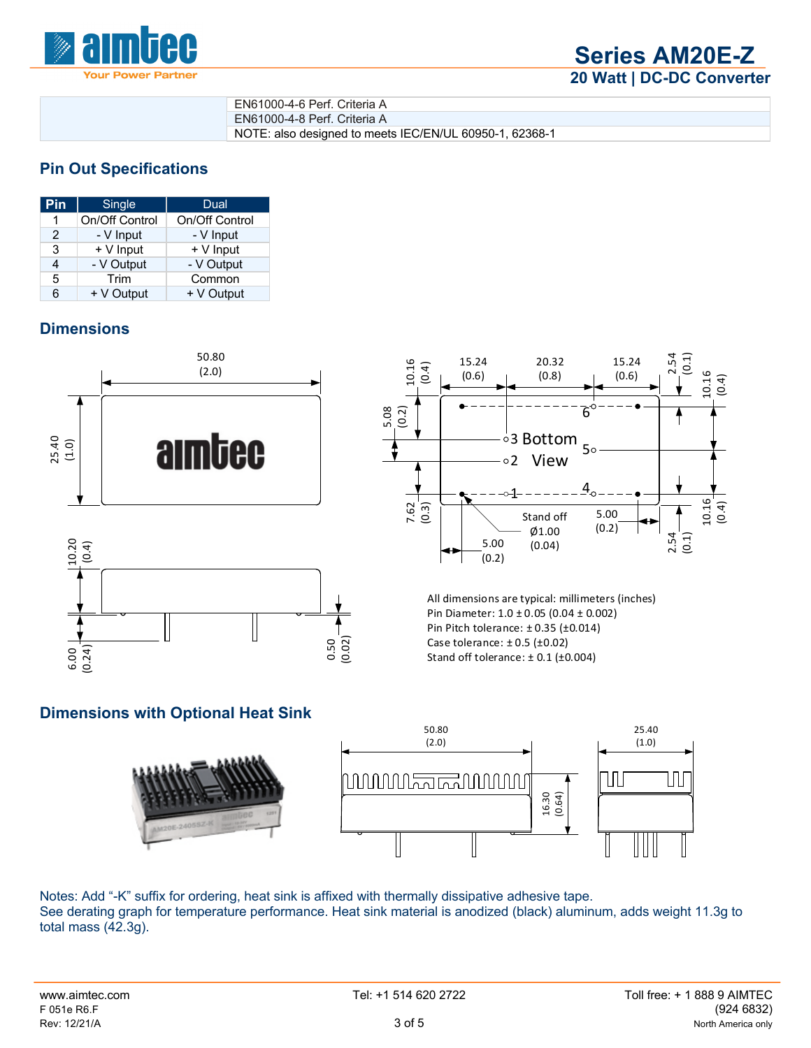

| EN61000-4-6 Perf. Criteria A                            |
|---------------------------------------------------------|
| EN61000-4-8 Perf. Criteria A                            |
| NOTE: also designed to meets IEC/EN/UL 60950-1, 62368-1 |

## **Pin Out Specifications**

| Pin           | Single         | Dual           |
|---------------|----------------|----------------|
| 1             | On/Off Control | On/Off Control |
| $\mathcal{P}$ | - V Input      | - V Input      |
| 3             | + V Input      | $+V$ Input     |
| 4             | - V Output     | - V Output     |
| 5             | Trim           | Common         |
| հ             | + V Output     | + V Output     |

## **Dimensions**







All dimensions are typical: millimeters (inches) Pin Diameter: 1.0 ± 0.05 (0.04 ± 0.002) Pin Pitch tolerance: ± 0.35 (±0.014) Case tolerance: ± 0.5 (±0.02) Stand off tolerance:  $\pm$  0.1 ( $\pm$ 0.004)

### **Dimensions with Optional Heat Sink**





Notes: Add "-K" suffix for ordering, heat sink is affixed with thermally dissipative adhesive tape. See derating graph for temperature performance. Heat sink material is anodized (black) aluminum, adds weight 11.3g to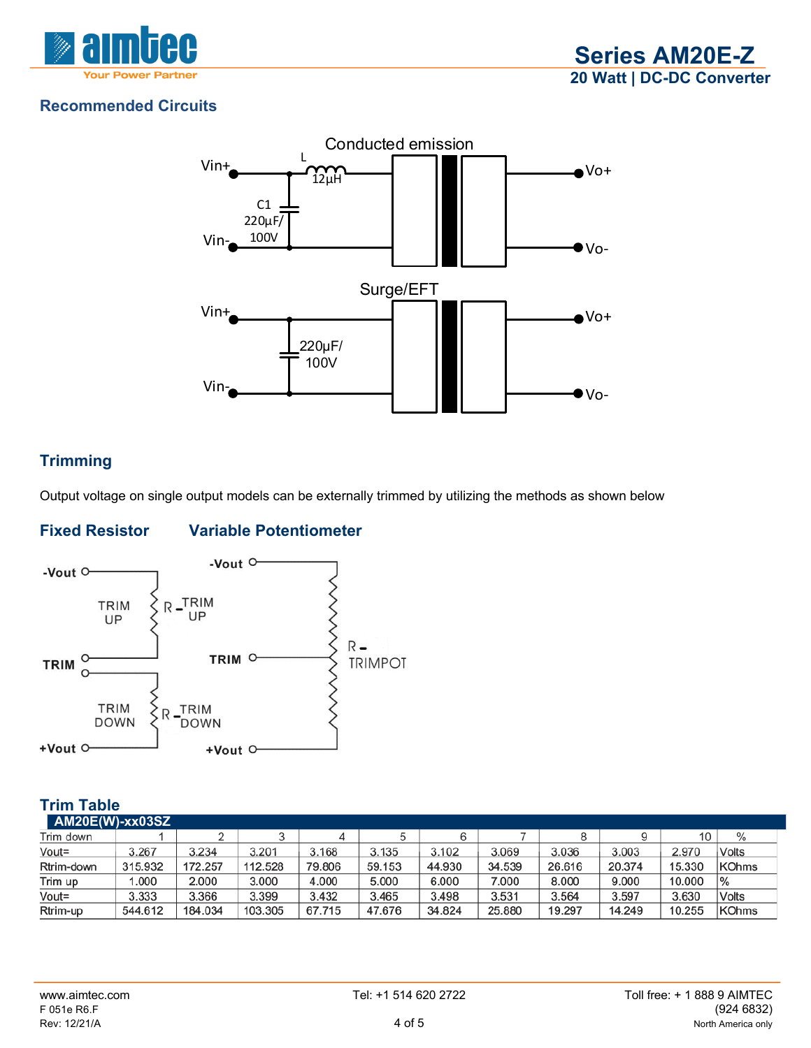



# **Recommended Circuits**



# **Trimming**

Output voltage on single output models can be externally trimmed by utilizing the methods as shown below

# **Fixed Resistor Variable Potentiometer**



## **Trim Table**

| <b>AM20E(W)-xx03SZ</b> |         |         |         |        |        |        |        |        |        |        |                |
|------------------------|---------|---------|---------|--------|--------|--------|--------|--------|--------|--------|----------------|
| Trim down              |         |         |         | ↵      |        |        |        |        |        | 10     | $\%$           |
| Vout=                  | 3.267   | 3.234   | 3.201   | 3.168  | 3.135  | 3.102  | 3.069  | 3.036  | 3.003  | 2.970  | Volts          |
| Rtrim-down             | 315.932 | 172.257 | 112.528 | 79.806 | 59.153 | 44.930 | 34.539 | 26.616 | 20.374 | 15.330 | KOhms          |
| Trim up                | 000.1   | 2.000   | 3.000   | 4.000  | 5.000  | 6.000  | 7.000  | 8.000  | 9.000  | 10.000 | $\frac{10}{6}$ |
| Vout=                  | 3.333   | 3.366   | 3.399   | 3.432  | 3.465  | 3.498  | 3.531  | 3.564  | 3.597  | 3.630  | Volts          |
| Rtrim-up               | 544.612 | 184.034 | 103.305 | 67.715 | 47.676 | 34.824 | 25.880 | 19.297 | 14.249 | 10.255 | KOhms          |